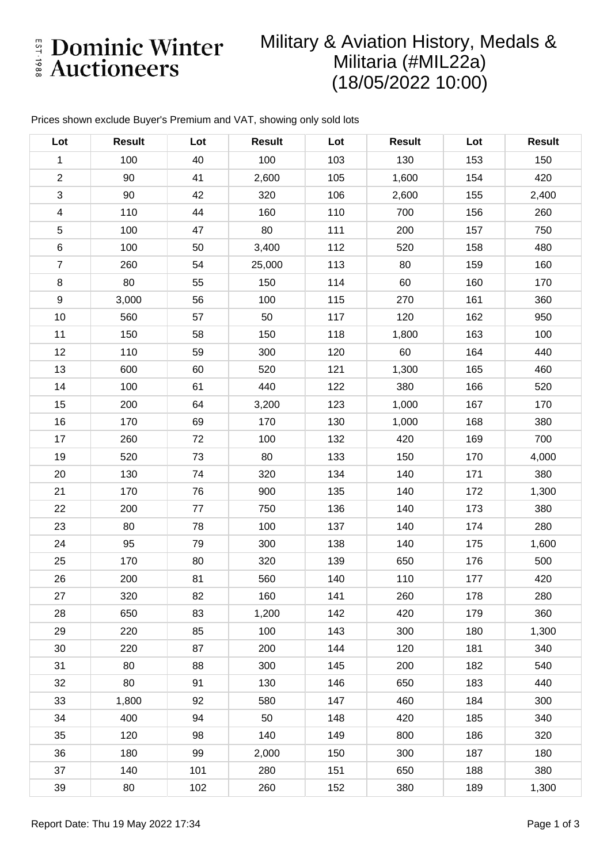E Dominic Winter

# Military & Aviation History, Medals & Militaria (#MIL22a) (18/05/2022 10:00)

### Prices shown exclude Buyer's Premium and VAT, showing only sold lots

| Lot                       | <b>Result</b> | Lot | <b>Result</b> | Lot | <b>Result</b> | Lot | <b>Result</b> |
|---------------------------|---------------|-----|---------------|-----|---------------|-----|---------------|
| $\mathbf{1}$              | 100           | 40  | 100           | 103 | 130           | 153 | 150           |
| $\overline{2}$            | 90            | 41  | 2,600         | 105 | 1,600         | 154 | 420           |
| $\ensuremath{\mathsf{3}}$ | 90            | 42  | 320           | 106 | 2,600         | 155 | 2,400         |
| $\overline{4}$            | 110           | 44  | 160           | 110 | 700           | 156 | 260           |
| $\mathbf 5$               | 100           | 47  | 80            | 111 | 200           | 157 | 750           |
| $\,6$                     | 100           | 50  | 3,400         | 112 | 520           | 158 | 480           |
| $\overline{7}$            | 260           | 54  | 25,000        | 113 | 80            | 159 | 160           |
| $\bf 8$                   | 80            | 55  | 150           | 114 | 60            | 160 | 170           |
| $9\,$                     | 3,000         | 56  | 100           | 115 | 270           | 161 | 360           |
| 10                        | 560           | 57  | 50            | 117 | 120           | 162 | 950           |
| 11                        | 150           | 58  | 150           | 118 | 1,800         | 163 | 100           |
| 12                        | 110           | 59  | 300           | 120 | 60            | 164 | 440           |
| 13                        | 600           | 60  | 520           | 121 | 1,300         | 165 | 460           |
| 14                        | 100           | 61  | 440           | 122 | 380           | 166 | 520           |
| 15                        | 200           | 64  | 3,200         | 123 | 1,000         | 167 | 170           |
| 16                        | 170           | 69  | 170           | 130 | 1,000         | 168 | 380           |
| 17                        | 260           | 72  | 100           | 132 | 420           | 169 | 700           |
| 19                        | 520           | 73  | 80            | 133 | 150           | 170 | 4,000         |
| 20                        | 130           | 74  | 320           | 134 | 140           | 171 | 380           |
| 21                        | 170           | 76  | 900           | 135 | 140           | 172 | 1,300         |
| 22                        | 200           | 77  | 750           | 136 | 140           | 173 | 380           |
| 23                        | 80            | 78  | 100           | 137 | 140           | 174 | 280           |
| 24                        | 95            | 79  | 300           | 138 | 140           | 175 | 1,600         |
| 25                        | 170           | 80  | 320           | 139 | 650           | 176 | 500           |
| 26                        | 200           | 81  | 560           | 140 | 110           | 177 | 420           |
| 27                        | 320           | 82  | 160           | 141 | 260           | 178 | 280           |
| 28                        | 650           | 83  | 1,200         | 142 | 420           | 179 | 360           |
| 29                        | 220           | 85  | 100           | 143 | 300           | 180 | 1,300         |
| 30                        | 220           | 87  | 200           | 144 | 120           | 181 | 340           |
| 31                        | 80            | 88  | 300           | 145 | 200           | 182 | 540           |
| 32                        | 80            | 91  | 130           | 146 | 650           | 183 | 440           |
| 33                        | 1,800         | 92  | 580           | 147 | 460           | 184 | 300           |
| 34                        | 400           | 94  | 50            | 148 | 420           | 185 | 340           |
| 35                        | 120           | 98  | 140           | 149 | 800           | 186 | 320           |
| 36                        | 180           | 99  | 2,000         | 150 | 300           | 187 | 180           |
| 37                        | 140           | 101 | 280           | 151 | 650           | 188 | 380           |
| 39                        | 80            | 102 | 260           | 152 | 380           | 189 | 1,300         |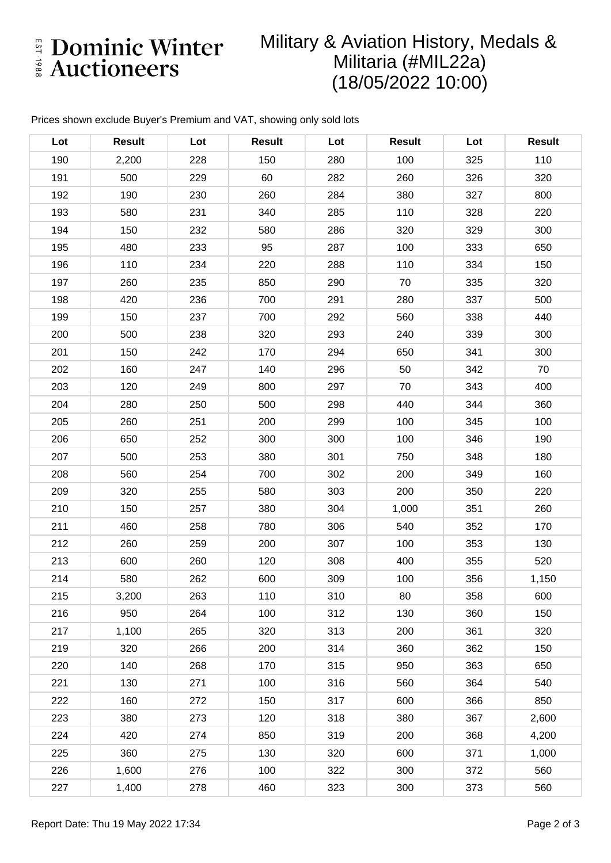E Dominic Winter

# Military & Aviation History, Medals & Militaria (#MIL22a) (18/05/2022 10:00)

### Prices shown exclude Buyer's Premium and VAT, showing only sold lots

| Lot | <b>Result</b> | Lot | <b>Result</b> | Lot | <b>Result</b> | Lot | <b>Result</b> |
|-----|---------------|-----|---------------|-----|---------------|-----|---------------|
| 190 | 2,200         | 228 | 150           | 280 | 100           | 325 | 110           |
| 191 | 500           | 229 | 60            | 282 | 260           | 326 | 320           |
| 192 | 190           | 230 | 260           | 284 | 380           | 327 | 800           |
| 193 | 580           | 231 | 340           | 285 | 110           | 328 | 220           |
| 194 | 150           | 232 | 580           | 286 | 320           | 329 | 300           |
| 195 | 480           | 233 | 95            | 287 | 100           | 333 | 650           |
| 196 | 110           | 234 | 220           | 288 | 110           | 334 | 150           |
| 197 | 260           | 235 | 850           | 290 | 70            | 335 | 320           |
| 198 | 420           | 236 | 700           | 291 | 280           | 337 | 500           |
| 199 | 150           | 237 | 700           | 292 | 560           | 338 | 440           |
| 200 | 500           | 238 | 320           | 293 | 240           | 339 | 300           |
| 201 | 150           | 242 | 170           | 294 | 650           | 341 | 300           |
| 202 | 160           | 247 | 140           | 296 | 50            | 342 | 70            |
| 203 | 120           | 249 | 800           | 297 | 70            | 343 | 400           |
| 204 | 280           | 250 | 500           | 298 | 440           | 344 | 360           |
| 205 | 260           | 251 | 200           | 299 | 100           | 345 | 100           |
| 206 | 650           | 252 | 300           | 300 | 100           | 346 | 190           |
| 207 | 500           | 253 | 380           | 301 | 750           | 348 | 180           |
| 208 | 560           | 254 | 700           | 302 | 200           | 349 | 160           |
| 209 | 320           | 255 | 580           | 303 | 200           | 350 | 220           |
| 210 | 150           | 257 | 380           | 304 | 1,000         | 351 | 260           |
| 211 | 460           | 258 | 780           | 306 | 540           | 352 | 170           |
| 212 | 260           | 259 | 200           | 307 | 100           | 353 | 130           |
| 213 | 600           | 260 | 120           | 308 | 400           | 355 | 520           |
| 214 | 580           | 262 | 600           | 309 | 100           | 356 | 1,150         |
| 215 | 3,200         | 263 | 110           | 310 | 80            | 358 | 600           |
| 216 | 950           | 264 | 100           | 312 | 130           | 360 | 150           |
| 217 | 1,100         | 265 | 320           | 313 | 200           | 361 | 320           |
| 219 | 320           | 266 | 200           | 314 | 360           | 362 | 150           |
| 220 | 140           | 268 | 170           | 315 | 950           | 363 | 650           |
| 221 | 130           | 271 | 100           | 316 | 560           | 364 | 540           |
| 222 | 160           | 272 | 150           | 317 | 600           | 366 | 850           |
| 223 | 380           | 273 | 120           | 318 | 380           | 367 | 2,600         |
| 224 | 420           | 274 | 850           | 319 | 200           | 368 | 4,200         |
| 225 | 360           | 275 | 130           | 320 | 600           | 371 | 1,000         |
| 226 | 1,600         | 276 | 100           | 322 | 300           | 372 | 560           |
| 227 | 1,400         | 278 | 460           | 323 | 300           | 373 | 560           |